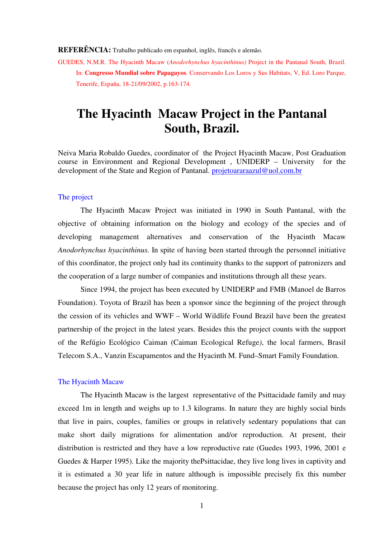#### **REFERÊNCIA:** Trabalho publicado em espanhol, inglês, francês e alemão.

GUEDES, N.M.R. The Hyacinth Macaw (*Anodorhynchus hyacinthinus)* Project in the Pantanal South, Brazil. In: **Congresso Mundial sobre Papagayos**. Conservando Los Loros y Sus Habitats, V, Ed. Loro Parque, Tenerife, España, 18-21/09/2002, p.163-174.

# **The Hyacinth Macaw Project in the Pantanal South, Brazil.**

Neiva Maria Robaldo Guedes, coordinator of the Project Hyacinth Macaw, Post Graduation course in Environment and Regional Development , UNIDERP – University for the development of the State and Region of Pantanal. projetoararaazul@uol.com.br

#### The project

The Hyacinth Macaw Project was initiated in 1990 in South Pantanal, with the objective of obtaining information on the biology and ecology of the species and of developing management alternatives and conservation of the Hyacinth Macaw *Anodorhynchus hyacinthinus.* In spite of having been started through the personnel initiative of this coordinator, the project only had its continuity thanks to the support of patronizers and the cooperation of a large number of companies and institutions through all these years.

 Since 1994, the project has been executed by UNIDERP and FMB (Manoel de Barros Foundation). Toyota of Brazil has been a sponsor since the beginning of the project through the cession of its vehicles and WWF – World Wildlife Found Brazil have been the greatest partnership of the project in the latest years. Besides this the project counts with the support of the Refúgio Ecológico Caiman (Caiman Ecological Refuge*)*, the local farmers, Brasil Telecom S.A., Vanzin Escapamentos and the Hyacinth M. Fund–Smart Family Foundation.

# The Hyacinth Macaw

The Hyacinth Macaw is the largest representative of the Psittacidade family and may exceed 1m in length and weighs up to 1.3 kilograms. In nature they are highly social birds that live in pairs, couples, families or groups in relatively sedentary populations that can make short daily migrations for alimentation and/or reproduction. At present, their distribution is restricted and they have a low reproductive rate (Guedes 1993, 1996, 2001 e Guedes & Harper 1995). Like the majority thePsittacidae, they live long lives in captivity and it is estimated a 30 year life in nature although is impossible precisely fix this number because the project has only 12 years of monitoring.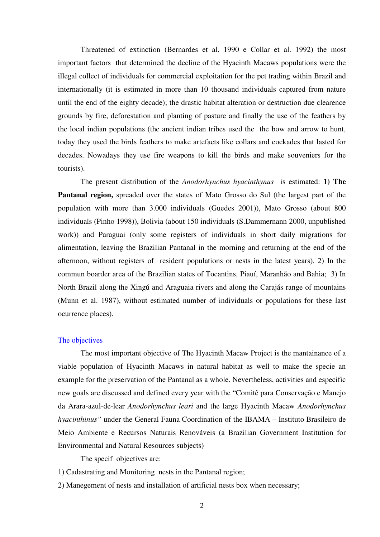Threatened of extinction (Bernardes et al. 1990 e Collar et al. 1992) the most important factors that determined the decline of the Hyacinth Macaws populations were the illegal collect of individuals for commercial exploitation for the pet trading within Brazil and internationally (it is estimated in more than 10 thousand individuals captured from nature until the end of the eighty decade); the drastic habitat alteration or destruction due clearence grounds by fire, deforestation and planting of pasture and finally the use of the feathers by the local indian populations (the ancient indian tribes used the the bow and arrow to hunt, today they used the birds feathers to make artefacts like collars and cockades that lasted for decades. Nowadays they use fire weapons to kill the birds and make souveniers for the tourists).

 The present distribution of the *Anodorhynchus hyacinthynus* is estimated: **1) The Pantanal region,** spreaded over the states of Mato Grosso do Sul (the largest part of the population with more than 3.000 individuals (Guedes 2001)), Mato Grosso (about 800 individuals (Pinho 1998)), Bolivia (about 150 individuals (S.Dammernann 2000, unpublished work)) and Paraguai (only some registers of individuals in short daily migrations for alimentation, leaving the Brazilian Pantanal in the morning and returning at the end of the afternoon, without registers of resident populations or nests in the latest years). 2) In the commun boarder area of the Brazilian states of Tocantins, Piauí, Maranhão and Bahia; 3) In North Brazil along the Xingú and Araguaia rivers and along the Carajás range of mountains (Munn et al. 1987), without estimated number of individuals or populations for these last ocurrence places).

# The objectives

 The most important objective of The Hyacinth Macaw Project is the mantainance of a viable population of Hyacinth Macaws in natural habitat as well to make the specie an example for the preservation of the Pantanal as a whole. Nevertheless, activities and especific new goals are discussed and defined every year with the "Comitê para Conservação e Manejo da Arara-azul-de-lear *Anodorhynchus leari* and the large Hyacinth Macaw *Anodorhynchus hyacinthinus"* under the General Fauna Coordination of the IBAMA – Instituto Brasileiro de Meio Ambiente e Recursos Naturais Renováveis (a Brazilian Government Institution for Environmental and Natural Resources subjects)

The specif objectives are:

- 1) Cadastrating and Monitoring nests in the Pantanal region;
- 2) Manegement of nests and installation of artificial nests box when necessary;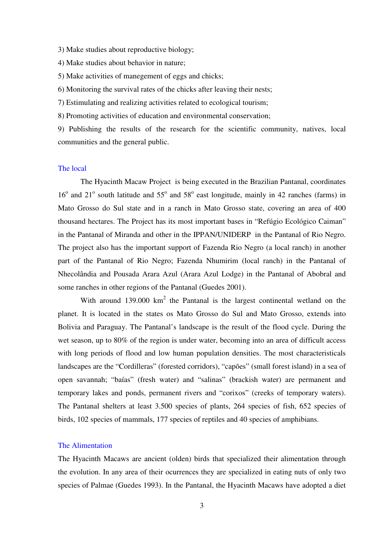- 3) Make studies about reproductive biology;
- 4) Make studies about behavior in nature;
- 5) Make activities of manegement of eggs and chicks;

6) Monitoring the survival rates of the chicks after leaving their nests;

7) Estimulating and realizing activities related to ecological tourism;

8) Promoting activities of education and environmental conservation;

9) Publishing the results of the research for the scientific community, natives, local communities and the general public.

# The local

 The Hyacinth Macaw Project is being executed in the Brazilian Pantanal, coordinates 16<sup>°</sup> and 21<sup>°</sup> south latitude and 55<sup>°</sup> and 58<sup>°</sup> east longitude, mainly in 42 ranches (farms) in Mato Grosso do Sul state and in a ranch in Mato Grosso state, covering an area of 400 thousand hectares. The Project has its most important bases in "Refúgio Ecológico Caiman" in the Pantanal of Miranda and other in the IPPAN/UNIDERP in the Pantanal of Rio Negro. The project also has the important support of Fazenda Rio Negro (a local ranch) in another part of the Pantanal of Rio Negro; Fazenda Nhumirim (local ranch) in the Pantanal of Nhecolândia and Pousada Arara Azul (Arara Azul Lodge) in the Pantanal of Abobral and some ranches in other regions of the Pantanal (Guedes 2001).

With around  $139.000 \text{ km}^2$  the Pantanal is the largest continental wetland on the planet. It is located in the states os Mato Grosso do Sul and Mato Grosso, extends into Bolivia and Paraguay. The Pantanal's landscape is the result of the flood cycle. During the wet season, up to 80% of the region is under water, becoming into an area of difficult access with long periods of flood and low human population densities. The most characteristicals landscapes are the "Cordilleras" (forested corridors), "capões" (small forest island) in a sea of open savannah; "baías" (fresh water) and "salinas" (brackish water) are permanent and temporary lakes and ponds, permanent rivers and "corixos" (creeks of temporary waters). The Pantanal shelters at least 3.500 species of plants, 264 species of fish, 652 species of birds, 102 species of mammals, 177 species of reptiles and 40 species of amphibians.

#### The Alimentation

The Hyacinth Macaws are ancient (olden) birds that specialized their alimentation through the evolution. In any area of their ocurrences they are specialized in eating nuts of only two species of Palmae (Guedes 1993). In the Pantanal, the Hyacinth Macaws have adopted a diet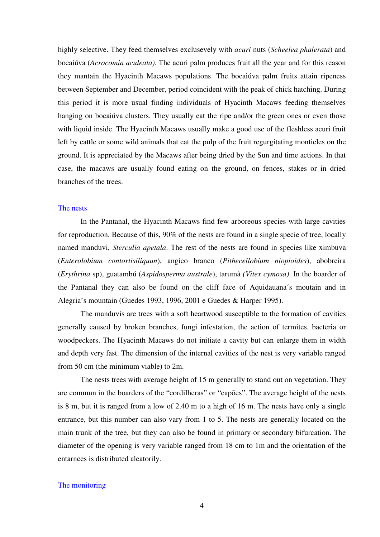highly selective. They feed themselves exclusevely with *acuri* nuts (*Scheelea phalerata*) and bocaiúva (*Acrocomia aculeata)*. The acuri palm produces fruit all the year and for this reason they mantain the Hyacinth Macaws populations. The bocaiúva palm fruits attain ripeness between September and December, period coincident with the peak of chick hatching. During this period it is more usual finding individuals of Hyacinth Macaws feeding themselves hanging on bocaiúva clusters. They usually eat the ripe and/or the green ones or even those with liquid inside. The Hyacinth Macaws usually make a good use of the fleshless acuri fruit left by cattle or some wild animals that eat the pulp of the fruit regurgitating monticles on the ground. It is appreciated by the Macaws after being dried by the Sun and time actions. In that case, the macaws are usually found eating on the ground, on fences, stakes or in dried branches of the trees.

# The nests

In the Pantanal, the Hyacinth Macaws find few arboreous species with large cavities for reproduction. Because of this, 90% of the nests are found in a single specie of tree, locally named manduvi, *Sterculia apetala*. The rest of the nests are found in species like ximbuva (*Enterolobium contortisiliquun*), angico branco (*Pithecellobium niopioides*), abobreira (*Erythrina* sp), guatambú (*Aspidosperma australe*), tarumã *(Vitex cymosa)*. In the boarder of the Pantanal they can also be found on the cliff face of Aquidauana´s moutain and in Alegria's mountain (Guedes 1993, 1996, 2001 e Guedes & Harper 1995).

The manduvis are trees with a soft heartwood susceptible to the formation of cavities generally caused by broken branches, fungi infestation, the action of termites, bacteria or woodpeckers. The Hyacinth Macaws do not initiate a cavity but can enlarge them in width and depth very fast. The dimension of the internal cavities of the nest is very variable ranged from 50 cm (the minimum viable) to 2m.

 The nests trees with average height of 15 m generally to stand out on vegetation. They are commun in the boarders of the "cordilheras" or "capões". The average height of the nests is 8 m, but it is ranged from a low of 2.40 m to a high of 16 m. The nests have only a single entrance, but this number can also vary from 1 to 5. The nests are generally located on the main trunk of the tree, but they can also be found in primary or secondary bifurcation. The diameter of the opening is very variable ranged from 18 cm to 1m and the orientation of the entarnces is distributed aleatorily.

#### The monitoring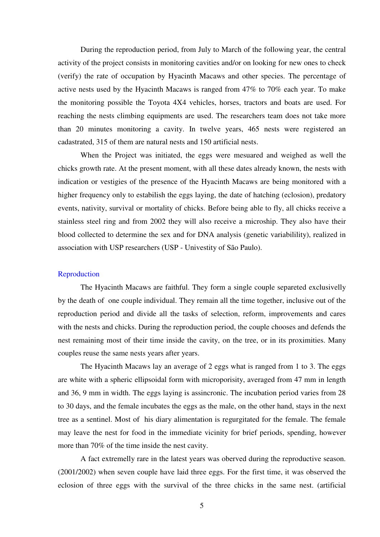During the reproduction period, from July to March of the following year, the central activity of the project consists in monitoring cavities and/or on looking for new ones to check (verify) the rate of occupation by Hyacinth Macaws and other species. The percentage of active nests used by the Hyacinth Macaws is ranged from 47% to 70% each year. To make the monitoring possible the Toyota 4X4 vehicles, horses, tractors and boats are used. For reaching the nests climbing equipments are used. The researchers team does not take more than 20 minutes monitoring a cavity. In twelve years, 465 nests were registered an cadastrated, 315 of them are natural nests and 150 artificial nests.

 When the Project was initiated, the eggs were mesuared and weighed as well the chicks growth rate. At the present moment, with all these dates already known, the nests with indication or vestigies of the presence of the Hyacinth Macaws are being monitored with a higher frequency only to estabilish the eggs laying, the date of hatching (eclosion), predatory events, nativity, survival or mortality of chicks. Before being able to fly, all chicks receive a stainless steel ring and from 2002 they will also receive a microship. They also have their blood collected to determine the sex and for DNA analysis (genetic variabilility), realized in association with USP researchers (USP - Univestity of São Paulo).

## Reproduction

The Hyacinth Macaws are faithful. They form a single couple separeted exclusivelly by the death of one couple individual. They remain all the time together, inclusive out of the reproduction period and divide all the tasks of selection, reform, improvements and cares with the nests and chicks. During the reproduction period, the couple chooses and defends the nest remaining most of their time inside the cavity, on the tree, or in its proximities. Many couples reuse the same nests years after years.

 The Hyacinth Macaws lay an average of 2 eggs what is ranged from 1 to 3. The eggs are white with a spheric ellipsoidal form with microporisity, averaged from 47 mm in length and 36, 9 mm in width. The eggs laying is assincronic. The incubation period varies from 28 to 30 days, and the female incubates the eggs as the male, on the other hand, stays in the next tree as a sentinel. Most of his diary alimentation is regurgitated for the female. The female may leave the nest for food in the immediate vicinity for brief periods, spending, however more than 70% of the time inside the nest cavity.

A fact extremelly rare in the latest years was oberved during the reproductive season. (2001/2002) when seven couple have laid three eggs. For the first time, it was observed the eclosion of three eggs with the survival of the three chicks in the same nest. (artificial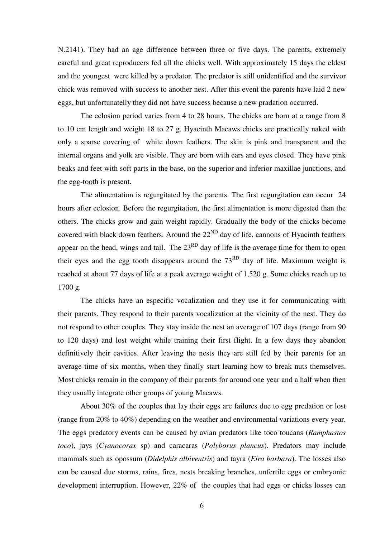N.2141). They had an age difference between three or five days. The parents, extremely careful and great reproducers fed all the chicks well. With approximately 15 days the eldest and the youngest were killed by a predator. The predator is still unidentified and the survivor chick was removed with success to another nest. After this event the parents have laid 2 new eggs, but unfortunatelly they did not have success because a new pradation occurred.

 The eclosion period varies from 4 to 28 hours. The chicks are born at a range from 8 to 10 cm length and weight 18 to 27 g. Hyacinth Macaws chicks are practically naked with only a sparse covering of white down feathers. The skin is pink and transparent and the internal organs and yolk are visible. They are born with ears and eyes closed. They have pink beaks and feet with soft parts in the base, on the superior and inferior maxillae junctions, and the egg-tooth is present.

The alimentation is regurgitated by the parents. The first regurgitation can occur 24 hours after eclosion. Before the regurgitation, the first alimentation is more digested than the others. The chicks grow and gain weight rapidly. Gradually the body of the chicks become covered with black down feathers. Around the  $22^{ND}$  day of life, cannons of Hyacinth feathers appear on the head, wings and tail. The  $23<sup>RD</sup>$  day of life is the average time for them to open their eyes and the egg tooth disappears around the  $73<sup>RD</sup>$  day of life. Maximum weight is reached at about 77 days of life at a peak average weight of 1,520 g. Some chicks reach up to 1700 g.

The chicks have an especific vocalization and they use it for communicating with their parents. They respond to their parents vocalization at the vicinity of the nest. They do not respond to other couples. They stay inside the nest an average of 107 days (range from 90 to 120 days) and lost weight while training their first flight. In a few days they abandon definitively their cavities. After leaving the nests they are still fed by their parents for an average time of six months, when they finally start learning how to break nuts themselves. Most chicks remain in the company of their parents for around one year and a half when then they usually integrate other groups of young Macaws.

 About 30% of the couples that lay their eggs are failures due to egg predation or lost (range from 20% to 40%) depending on the weather and environmental variations every year. The eggs predatory events can be caused by avian predators like toco toucans (*Ramphastos toco*), jays (*Cyanocorax* sp) and caracaras (*Polyborus plancus*). Predators may include mammals such as opossum (*Didelphis albiventris*) and tayra (*Eira barbara*). The losses also can be caused due storms, rains, fires, nests breaking branches, unfertile eggs or embryonic development interruption. However, 22% of the couples that had eggs or chicks losses can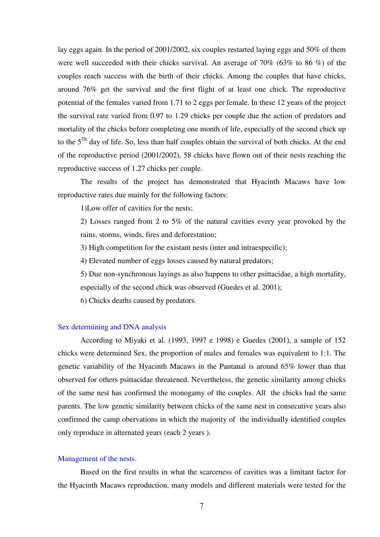lay eggs again. In the period of 2001/2002, six couples restarted laying eggs and 50% of them were well succeeded with their chicks survival. An average of  $70\%$  (63% to 86 %) of the couples reach success with the birth of their chicks. Among the couples that have chicks, around 76% get the survival and the first flight of at least one chick. The reproductive potential of the females varied from 1.71 to 2 eggs per female. In these 12 years of the project the survival rate varied from 0.97 to 1.29 chicks per couple due the action of predators and mortality of the chicks before completing one month of life, especially of the second chick up to the  $5<sup>Th</sup>$  day of life. So, less than half couples obtain the survival of both chicks. At the end of the reproductive period (2001/2002), 58 chicks have flown out of their nests reaching the reproductive success of 1.27 chicks per couple.

 The results of the project has demonstrated that Hyacinth Macaws have low reproductive rates due mainly for the following factors:

1)Low offer of cavities for the nests;

2) Losses ranged from 2 to 5% of the natural cavities every year provoked by the rains, storms, winds, fires and deforestation;

3) High competition for the existant nests (inter and intraespecific);

4) Elevated number of eggs losses caused by natural predators;

5) Due non-synchronous layings as also happens to other psittacidae, a high mortality, especially of the second chick was observed (Guedes et al. 2001);

6) Chicks deaths caused by predators.

#### Sex determining and DNA analysis

According to Miyaki et al. (1993, 1997 e 1998) e Guedes (2001), a sample of 152 chicks were determined Sex, the proportion of males and females was equivalent to 1:1. The genetic variability of the Hyacinth Macaws in the Pantanal is around 65% lower than that observed for others psittacidae threatened. Nevertheless, the genetic similarity among chicks of the same nest has confirmed the monogamy of the couples. All the chicks had the same parents. The low genetic similarity between chicks of the same nest in consecutive years also confirmed the camp obervations in which the majority of the individually identified couples only reproduce in alternated years (each 2 years ).

# Management of the nests.

 Based on the first results in what the scarceness of cavities was a limitant factor for the Hyacinth Macaws reproduction, many models and different materials were tested for the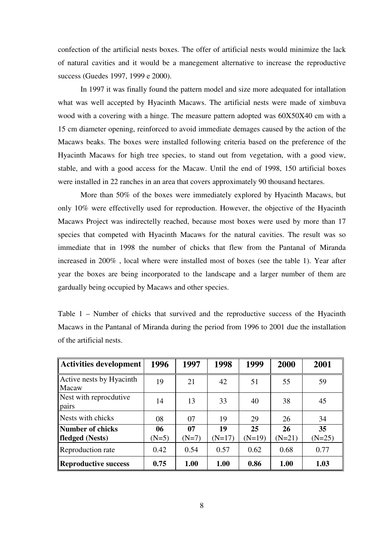confection of the artificial nests boxes. The offer of artificial nests would minimize the lack of natural cavities and it would be a manegement alternative to increase the reproductive success (Guedes 1997, 1999 e 2000).

 In 1997 it was finally found the pattern model and size more adequated for intallation what was well accepted by Hyacinth Macaws. The artificial nests were made of ximbuva wood with a covering with a hinge. The measure pattern adopted was 60X50X40 cm with a 15 cm diameter opening, reinforced to avoid immediate demages caused by the action of the Macaws beaks. The boxes were installed following criteria based on the preference of the Hyacinth Macaws for high tree species, to stand out from vegetation, with a good view, stable, and with a good access for the Macaw. Until the end of 1998, 150 artificial boxes were installed in 22 ranches in an area that covers approximately 90 thousand hectares.

 More than 50% of the boxes were immediately explored by Hyacinth Macaws, but only 10% were effectivelly used for reproduction. However, the objective of the Hyacinth Macaws Project was indirectelly reached, because most boxes were used by more than 17 species that competed with Hyacinth Macaws for the natural cavities. The result was so immediate that in 1998 the number of chicks that flew from the Pantanal of Miranda increased in 200% , local where were installed most of boxes (see the table 1). Year after year the boxes are being incorporated to the landscape and a larger number of them are gardually being occupied by Macaws and other species.

| <b>Activities development</b>       | 1996          | 1997          | 1998           | 1999           | 2000           | 2001           |
|-------------------------------------|---------------|---------------|----------------|----------------|----------------|----------------|
| Active nests by Hyacinth<br>Macaw   | 19            | 21            | 42             | 51             | 55             | 59             |
| Nest with reprocdutive<br>pairs     | 14            | 13            | 33             | 40             | 38             | 45             |
| Nests with chicks                   | 08            | 07            | 19             | 29             | 26             | 34             |
| Number of chicks<br>fledged (Nests) | 06<br>$(N=5)$ | 07<br>$(N=7)$ | 19<br>$(N=17)$ | 25<br>$(N=19)$ | 26<br>$(N=21)$ | 35<br>$(N=25)$ |
| Reproduction rate                   | 0.42          | 0.54          | 0.57           | 0.62           | 0.68           | 0.77           |
| <b>Reproductive success</b>         | 0.75          | 1.00          | 1.00           | 0.86           | 1.00           | 1.03           |

Table 1 – Number of chicks that survived and the reproductive success of the Hyacinth Macaws in the Pantanal of Miranda during the period from 1996 to 2001 due the installation of the artificial nests.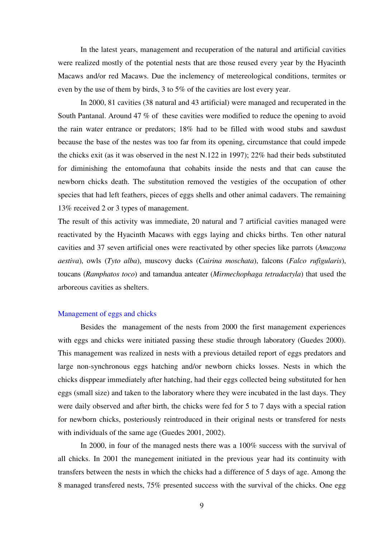In the latest years, management and recuperation of the natural and artificial cavities were realized mostly of the potential nests that are those reused every year by the Hyacinth Macaws and/or red Macaws. Due the inclemency of metereological conditions, termites or even by the use of them by birds, 3 to 5% of the cavities are lost every year.

 In 2000, 81 cavities (38 natural and 43 artificial) were managed and recuperated in the South Pantanal. Around 47 % of these cavities were modified to reduce the opening to avoid the rain water entrance or predators; 18% had to be filled with wood stubs and sawdust because the base of the nestes was too far from its opening, circumstance that could impede the chicks exit (as it was observed in the nest N.122 in 1997); 22% had their beds substituted for diminishing the entomofauna that cohabits inside the nests and that can cause the newborn chicks death. The substitution removed the vestigies of the occupation of other species that had left feathers, pieces of eggs shells and other animal cadavers. The remaining 13% received 2 or 3 types of management.

The result of this activity was immediate, 20 natural and 7 artificial cavities managed were reactivated by the Hyacinth Macaws with eggs laying and chicks births. Ten other natural cavities and 37 seven artificial ones were reactivated by other species like parrots (*Amazona aestiva*), owls (*Tyto alba*), muscovy ducks (*Cairina moschata*), falcons (*Falco rufigularis*), toucans (*Ramphatos toco*) and tamandua anteater (*Mirmechophaga tetradactyla*) that used the arboreous cavities as shelters.

# Management of eggs and chicks

Besides the management of the nests from 2000 the first management experiences with eggs and chicks were initiated passing these studie through laboratory (Guedes 2000). This management was realized in nests with a previous detailed report of eggs predators and large non-synchronous eggs hatching and/or newborn chicks losses. Nests in which the chicks disppear immediately after hatching, had their eggs collected being substituted for hen eggs (small size) and taken to the laboratory where they were incubated in the last days. They were daily observed and after birth, the chicks were fed for 5 to 7 days with a special ration for newborn chicks, posteriously reintroduced in their original nests or transfered for nests with individuals of the same age (Guedes 2001, 2002).

 In 2000, in four of the managed nests there was a 100% success with the survival of all chicks. In 2001 the manegement initiated in the previous year had its continuity with transfers between the nests in which the chicks had a difference of 5 days of age. Among the 8 managed transfered nests, 75% presented success with the survival of the chicks. One egg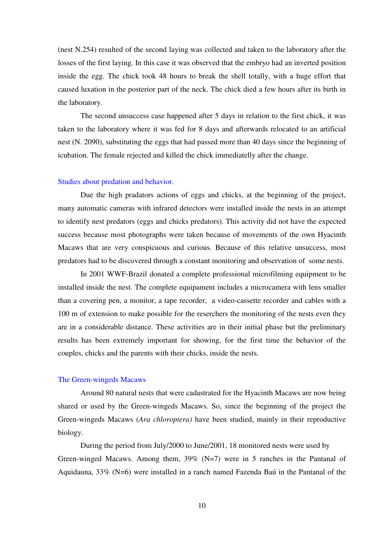(nest N.254) resulted of the second laying was collected and taken to the laboratory after the losses of the first laying. In this case it was observed that the embryo had an inverted position inside the egg. The chick took 48 hours to break the shell totally, with a huge effort that caused luxation in the posterior part of the neck. The chick died a few hours after its birth in the laboratory.

The second unsuccess case happened after 5 days in relation to the first chick, it was taken to the laboratory where it was fed for 8 days and afterwards relocated to an artificial nest (N. 2090), substituting the eggs that had passed more than 40 days since the beginning of icubation. The female rejected and killed the chick immediatelly after the change.

# Studies about predation and behavior.

 Due the high pradators actions of eggs and chicks, at the beginning of the project, many automatic cameras with infrared detectors were installed inside the nests in an attempt to identify nest predators (eggs and chicks predators). This activity did not have the expected success because most photographs were taken because of movements of the own Hyacinth Macaws that are very conspicuous and curious. Because of this relative unsuccess, most predators had to be discovered through a constant monitoring and observation of some nests.

 In 2001 WWF-Brazil donated a complete professional microfilming equipment to be installed inside the nest. The complete equipament includes a microcamera with lens smaller than a covering pen, a monitor, a tape recorder, a video-cassette recorder and cables with a 100 m of extension to make possible for the reserchers the monitoring of the nests even they are in a considerable distance. These activities are in their initial phase but the preliminary results has been extremely important for showing, for the first time the behavior of the couples, chicks and the parents with their chicks, inside the nests.

#### The Green-wingeds Macaws

Around 80 natural nests that were cadastrated for the Hyacinth Macaws are now being shared or used by the Green-wingeds Macaws. So, since the beginning of the project the Green-wingeds Macaws (*Ara chloroptera)* have been studied, mainly in their reproductive biology.

 During the period from July/2000 to June/2001, 18 monitored nests were used by Green-winged Macaws. Among them, 39% (N=7) were in 5 ranches in the Pantanal of Aquidauna, 33% (N=6) were installed in a ranch named Fazenda Baú in the Pantanal of the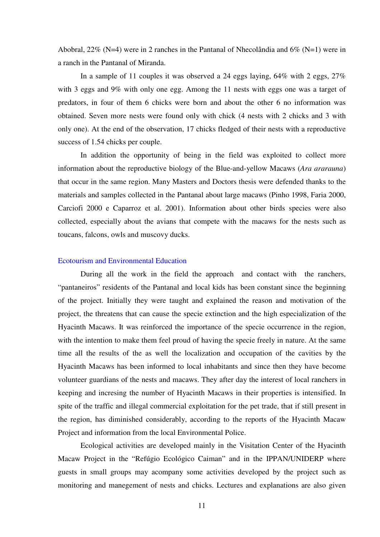Abobral, 22% (N=4) were in 2 ranches in the Pantanal of Nhecolândia and  $6\%$  (N=1) were in a ranch in the Pantanal of Miranda.

 In a sample of 11 couples it was observed a 24 eggs laying, 64% with 2 eggs, 27% with 3 eggs and 9% with only one egg. Among the 11 nests with eggs one was a target of predators, in four of them 6 chicks were born and about the other 6 no information was obtained. Seven more nests were found only with chick (4 nests with 2 chicks and 3 with only one). At the end of the observation, 17 chicks fledged of their nests with a reproductive success of 1.54 chicks per couple.

 In addition the opportunity of being in the field was exploited to collect more information about the reproductive biology of the Blue-and-yellow Macaws (*Ara ararauna*) that occur in the same region. Many Masters and Doctors thesis were defended thanks to the materials and samples collected in the Pantanal about large macaws (Pinho 1998, Faria 2000, Carciofi 2000 e Caparroz et al. 2001). Information about other birds species were also collected, especially about the avians that compete with the macaws for the nests such as toucans, falcons, owls and muscovy ducks.

#### Ecotourism and Environmental Education

 During all the work in the field the approach and contact with the ranchers, "pantaneiros" residents of the Pantanal and local kids has been constant since the beginning of the project. Initially they were taught and explained the reason and motivation of the project, the threatens that can cause the specie extinction and the high especialization of the Hyacinth Macaws. It was reinforced the importance of the specie occurrence in the region, with the intention to make them feel proud of having the specie freely in nature. At the same time all the results of the as well the localization and occupation of the cavities by the Hyacinth Macaws has been informed to local inhabitants and since then they have become volunteer guardians of the nests and macaws. They after day the interest of local ranchers in keeping and incresing the number of Hyacinth Macaws in their properties is intensified. In spite of the traffic and illegal commercial exploitation for the pet trade, that if still present in the region, has diminished considerably, according to the reports of the Hyacinth Macaw Project and information from the local Environmental Police.

Ecological activities are developed mainly in the Visitation Center of the Hyacinth Macaw Project in the "Refúgio Ecológico Caiman" and in the IPPAN/UNIDERP where guests in small groups may acompany some activities developed by the project such as monitoring and manegement of nests and chicks. Lectures and explanations are also given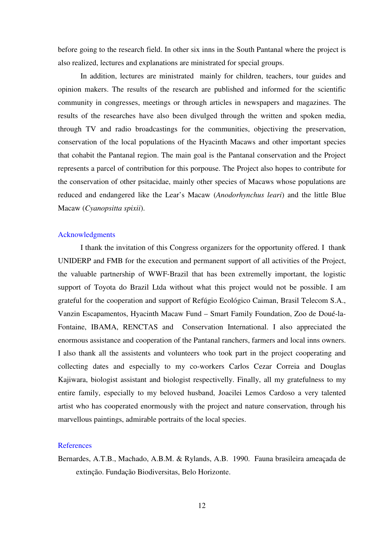before going to the research field. In other six inns in the South Pantanal where the project is also realized, lectures and explanations are ministrated for special groups.

In addition, lectures are ministrated mainly for children, teachers, tour guides and opinion makers. The results of the research are published and informed for the scientific community in congresses, meetings or through articles in newspapers and magazines. The results of the researches have also been divulged through the written and spoken media, through TV and radio broadcastings for the communities, objectiving the preservation, conservation of the local populations of the Hyacinth Macaws and other important species that cohabit the Pantanal region. The main goal is the Pantanal conservation and the Project represents a parcel of contribution for this porpouse. The Project also hopes to contribute for the conservation of other psitacidae, mainly other species of Macaws whose populations are reduced and endangered like the Lear's Macaw (*Anodorhynchus leari*) and the little Blue Macaw (*Cyanopsitta spixii*).

# Acknowledgments

I thank the invitation of this Congress organizers for the opportunity offered. I thank UNIDERP and FMB for the execution and permanent support of all activities of the Project, the valuable partnership of WWF-Brazil that has been extremelly important, the logistic support of Toyota do Brazil Ltda without what this project would not be possible. I am grateful for the cooperation and support of Refúgio Ecológico Caiman, Brasil Telecom S.A., Vanzin Escapamentos, Hyacinth Macaw Fund – Smart Family Foundation, Zoo de Doué-la-Fontaine, IBAMA, RENCTAS and Conservation International. I also appreciated the enormous assistance and cooperation of the Pantanal ranchers, farmers and local inns owners. I also thank all the assistents and volunteers who took part in the project cooperating and collecting dates and especially to my co-workers Carlos Cezar Correia and Douglas Kajiwara, biologist assistant and biologist respectivelly. Finally, all my gratefulness to my entire family, especially to my beloved husband, Joacilei Lemos Cardoso a very talented artist who has cooperated enormously with the project and nature conservation, through his marvellous paintings, admirable portraits of the local species.

# References

Bernardes, A.T.B., Machado, A.B.M. & Rylands, A.B. 1990. Fauna brasileira ameaçada de extinção. Fundação Biodiversitas, Belo Horizonte.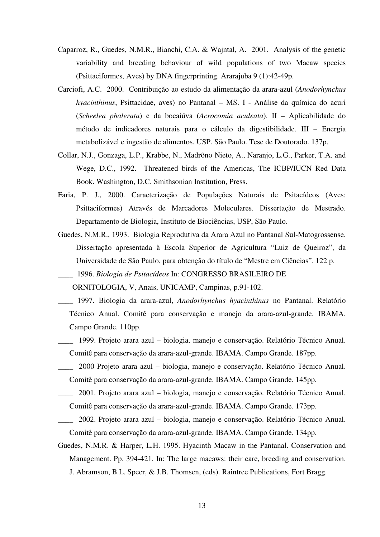- Caparroz, R., Guedes, N.M.R., Bianchi, C.A. & Wajntal, A. 2001. Analysis of the genetic variability and breeding behaviour of wild populations of two Macaw species (Psittaciformes, Aves) by DNA fingerprinting. Ararajuba 9 (1):42-49p.
- Carciofi, A.C. 2000. Contribuição ao estudo da alimentação da arara-azul (*Anodorhynchus hyacinthinus*, Psittacidae, aves) no Pantanal – MS. I - Análise da química do acuri (*Scheelea phalerata*) e da bocaiúva (*Acrocomia aculeata*). II – Aplicabilidade do método de indicadores naturais para o cálculo da digestibilidade. III – Energia metabolizável e ingestão de alimentos. USP. São Paulo. Tese de Doutorado. 137p.
- Collar, N.J., Gonzaga, L.P., Krabbe, N., Madrõno Nieto, A., Naranjo, L.G., Parker, T.A. and Wege, D.C., 1992. Threatened birds of the Americas, The ICBP/IUCN Red Data Book. Washington, D.C. Smithsonian Institution, Press.
- Faria, P. J., 2000. Caracterização de Populações Naturais de Psitacídeos (Aves: Psittaciformes) Através de Marcadores Moleculares. Dissertação de Mestrado. Departamento de Biologia, Instituto de Biociências, USP, São Paulo.
- Guedes, N.M.R., 1993. Biologia Reprodutiva da Arara Azul no Pantanal Sul-Matogrossense. Dissertação apresentada à Escola Superior de Agricultura "Luiz de Queiroz", da Universidade de São Paulo, para obtenção do título de "Mestre em Ciências". 122 p.
- *\_\_\_\_* 1996. *Biologia de Psitacídeos* In: CONGRESSO BRASILEIRO DE

ORNITOLOGIA, V, Anais, UNICAMP, Campinas, p.91-102.

- \_\_\_\_ 1997. Biologia da arara-azul, *Anodorhynchus hyacinthinus* no Pantanal. Relatório Técnico Anual. Comitê para conservação e manejo da arara-azul-grande. IBAMA. Campo Grande. 110pp.
- \_\_\_\_ 1999. Projeto arara azul biologia, manejo e conservação. Relatório Técnico Anual. Comitê para conservação da arara-azul-grande. IBAMA. Campo Grande. 187pp.
- \_\_\_\_ 2000 Projeto arara azul biologia, manejo e conservação. Relatório Técnico Anual. Comitê para conservação da arara-azul-grande. IBAMA. Campo Grande. 145pp.
- \_\_\_\_ 2001. Projeto arara azul biologia, manejo e conservação. Relatório Técnico Anual. Comitê para conservação da arara-azul-grande. IBAMA. Campo Grande. 173pp.
- \_\_\_\_ 2002. Projeto arara azul biologia, manejo e conservação. Relatório Técnico Anual. Comitê para conservação da arara-azul-grande. IBAMA. Campo Grande. 134pp.
- Guedes, N.M.R. & Harper, L.H. 1995. Hyacinth Macaw in the Pantanal. Conservation and Management. Pp. 394-421. In: The large macaws: their care, breeding and conservation. J. Abramson, B.L. Speer, & J.B. Thomsen, (eds). Raintree Publications, Fort Bragg.